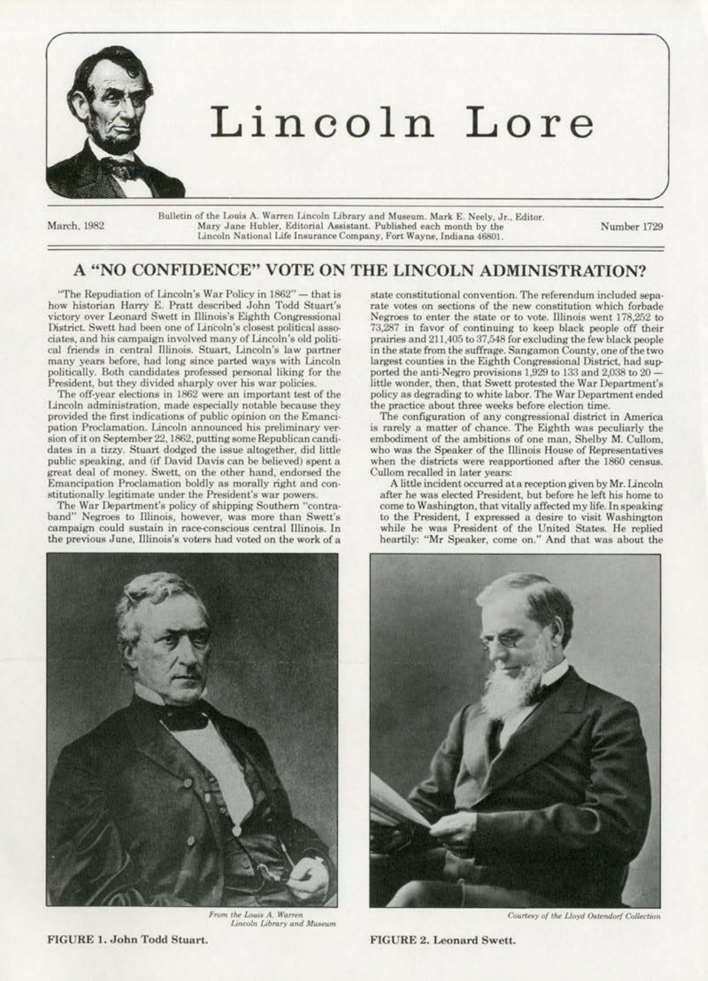

March, 1982

Bulletin of the Louis A. Warren Lincoln Library and Museum. Mark E. Neely, Jr., Editor. Mary Jane Hubler, Editorial Assistant. Published each month by the Lincoln National Life Insurance Company, Fort Wayne, Indiana 46801.

Number 1729

### A "NO CONFIDENCE" VOTE ON THE LINCOLN ADMINISTRATION?

"The Repudiation of Lincoln's War Policy in 1862" - that is how historian Harry E. Pratt described John Todd Stuart's victory over Leonard Swett in Illinois's Eighth Congressional District. Swett had been one of Lincoln's closest political associates, and his campaign involved many of Lincoln's old political friends in central Illinois. Stuart, Lincoln's law partner many years before, had long since parted ways with Lincoln politically. Both candidates professed personal liking for the President, but they divided sharply over his war policies.

The off-year elections in 1862 were an important test of the Lincoln administration, made especially notable because they provided the first indications of public opinion on the Emancipation Proclamation. Lincoln announced his preliminary version of it on September 22, 1862, putting some Republican candidates in a tizzy. Stuart dodged the issue altogether, did little public speaking, and (if David Davis can be believed) spent a great deal of money. Swett, on the other hand, endorsed the Emancipation Proclamation boldly as morally right and constitutionally legitimate under the President's war powers.

The War Department's policy of shipping Southern "contra-<br>band" Negroes to Illinois, however, was more than Swett's campaign could sustain in race-conscious central Illinois. In the previous June, Illinois's voters had voted on the work of a



From the Louis A. Warren Lincoln Library and Museum

state constitutional convention. The referendum included separate votes on sections of the new constitution which forbade Negroes to enter the state or to vote. Illinois went 178,252 to 73,287 in favor of continuing to keep black people off their prairies and 211,405 to 37,548 for excluding the few black people in the state from the suffrage. Sangamon County, one of the two largest counties in the Eighth Congressional District, had supported the anti-Negro provisions 1,929 to 133 and 2,038 to 20 little wonder, then, that Swett protested the War Department's policy as degrading to white labor. The War Department ended the practice about three weeks before election time.

The configuration of any congressional district in America is rarely a matter of chance. The Eighth was peculiarly the embodiment of the ambitions of one man. Shelby M. Cullom. who was the Speaker of the Illinois House of Representatives when the districts were reapportioned after the 1860 census. Cullom recalled in later years:

A little incident occurred at a reception given by Mr. Lincoln after he was elected President, but before he left his home to come to Washington, that vitally affected my life. In speaking to the President, I expressed a desire to visit Washington while he was President of the United States. He replied<br>heartily: "Mr Speaker, come on." And that was about the



Courtesy of the Lloyd Ostendorf Collection

FIGURE 2. Leonard Swett.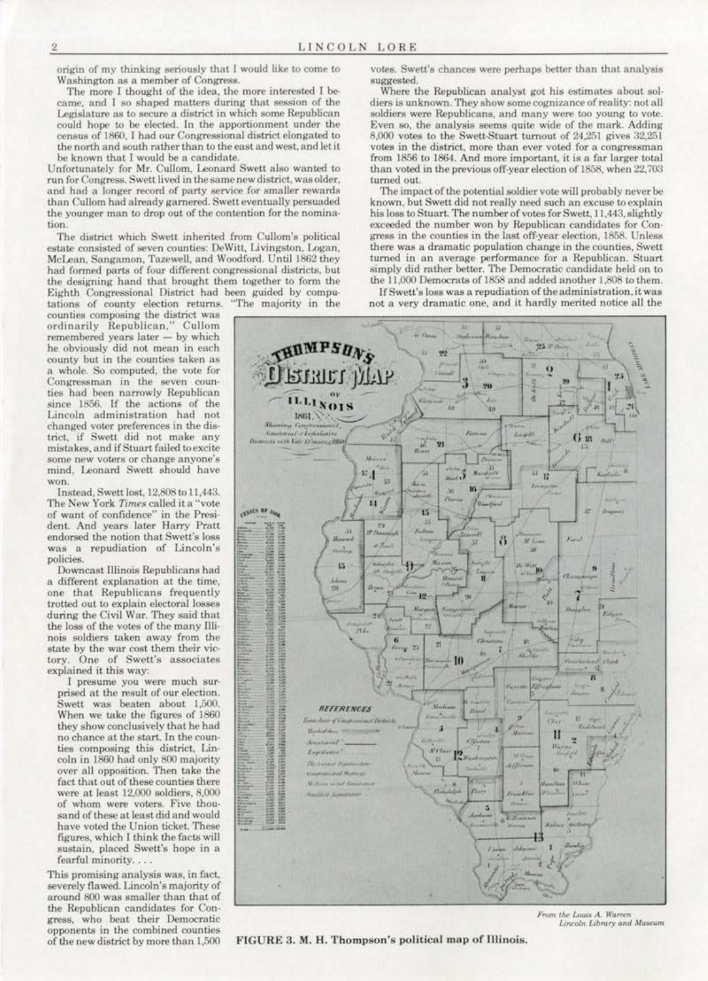origin of my thinking seriously that I would like to come to Washington as a member of Congress.<br>The more I thought of the idea, the more interested I be-

came, and I so shaped matters during that session of the Legislature as to secure a district in which some Republican could hope to be elected. In the apportionment under the census of 1860. I had our Congressional district elongated to the north and south rather than to the cast and west. and let it be known that I would be a candidate.

Unfortunately for Mr. Cullom, Leonard Swett also wanted to run for Congress. Swett lived in the same new district, was older, and had a longer record of party service for smaller rewards than Cullom had already garnered. Swett eventually persuaded the younger man to drop out of the contention for the nomina· tion.

The district which Swett inherited from Cullom's political estate consisted of seven counties: DeWitt, Livingston, Logan, McLean, Sangamon, Tazewell, and Woodford. Until 1862 they had formed parts of four different congressional districts, but the designing hand that brought them together to form the Eighth Congressional District had been guided by compu·

tations of county election returns. "The majority in the counties composing the district was ordinarily Republican," Cullom<br>remembered years later - by which he obviously did not mean in each county but in the counties taken as a whole. So computed, the vote for Congressman in the seven coun-<br>ties had been narrowly Republican since 1856. If the actions of the Lincoln administration had not changed voter preferences in the district, if Swett did not make any<br>mistakes, and if Stuart failed to excite some new voters or change anyone's mind. Loonard Swett should have

won.<br>Instead. Swett lost. 12.808 to 11.443. The New York Times called it a "vote of want of confidence'' in the Presi· dent. And years later Harry Pratt endorsed the notion that Swett's loss was a repudiation of Lincoln's policies.<br>Downcast Illinois Republicans had

a different explanation at the time. one that Republicans frequently during the Civil War. They said that the loss of the votes of the many flli· nois soldiers taken away from the state by the war cost them their victory. One of Swett's associates explained it this way:

I presume you were much surprised at the result of our election.<br>Swett was beaten about 1,500. When we take the figures of 1860. they show conclusively that he had<br>no chance at the start. In the counties composing this district, Lincoin in 1860 had only 800 majority over aU opposition. Then take the were at least  $12,000$  soldiers,  $8,000$ of whom were voters. Five thou· sand of these at least did and would have voted the Union ticket. These figures, which I think the facts will sustain. placed Swett's hope in a fearful minority...

This promising analysis was, in fact, severely flawed. Lincoln's majority of around 800 was smaller than that of the Republican candidates for Con· gress, who beat their Democratic opponents in the combined counties of the new district by more than 1,500

votes. Swett's chances were perhaps better than that analysis suggested.

Where the Republican analyst got his estimates about soldiers is unknown. They show some cognizance of reality: not all soldiers were Republicans, and many were too young to vote. Even so. the analysis seems quite wide of the mark. Adding 8,000 votes to the Swett-Stuart turnout of 24,251 gives 32,251 votes in the district, more than ever voted for a congressman from 1856 to 1864. And more important, it is a far larger total than voted *in* the previous off· year election of l858. when 22,703 turned out.

The impact of the potential soldier vote will probably never be known, but Swett did not really need such an excuse to explain his loss to Stuart. The number of votes for Swett, 11.443, slightly exceeded the number won by Republican candidates for Con· gress in the counties in the last off-year election, 1858. Unless there was a dramatic population change in the counties. Swett tumed in an average performance for a Republican. Stuart simply did rather better. The Democratic candidate held on to the 11,000 Democrats of 1858 and added another 1.808 to them.

If Swett's loss was a repudiation of the administration, it was



FIGURE 3. M. H. Thompson's political map of Illinois.

*Lincoln Library and Museum*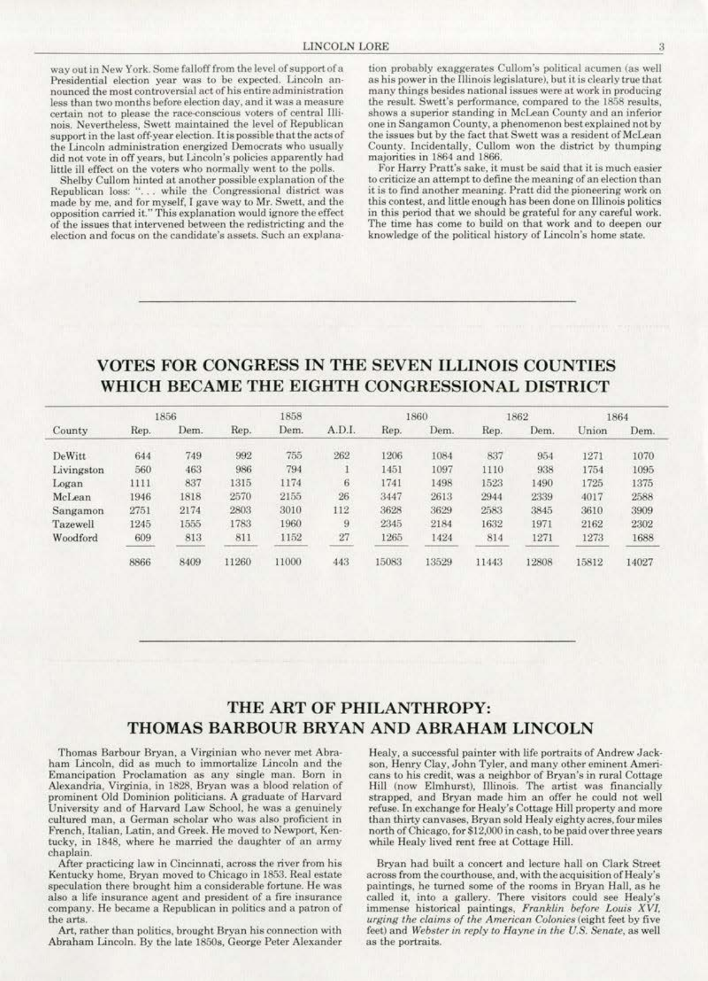way out in New York. Some falloff from the level of support of a Presidential election year was to be expected. Lincoln announced the most controversial act of his entire administration less than two months before election day, and it was a measure certain not to please the race-conscious voters of central Illinois. Nevertheless, Swett maintained the level of Republican support in the last off-year election. It is possible that the acts of the Lincoln administration energized Democrats who usually did not vote in off years, but Lincoln's policies apparently had little ill effect on the voters who normally went to the polls.

Shelby Cullom hinted at another possible explanation of the Republican loss: "... while the Congressional district was required by me, and for myself, I gave way to Mr. Swett, and the opposition carried it." This explanation would ignore the effect of the issues that intervened between the redistricting and the election and focus on the candidate's assets. Such an explanation probably exaggerates Cullom's political acumen (as well as his power in the Illinois legislature), but it is clearly true that many things besides national issues were at work in producing the result. Swett's performance, compared to the 1858 results, shows a superior standing in McLean County and an inferior one in Sangamon County, a phenomenon best explained not by the issues but by the fact that Swett was a resident of McLean County. Incidentally, Cullom won the district by thumping majorities in 1864 and 1866.

For Harry Pratt's sake, it must be said that it is much easier to criticize an attempt to define the meaning of an election than it is to find another meaning. Pratt did the pioneering work on this contest, and little enough has been done on Illinois politics in this period that we should be grateful for any careful work. The time has come to build on that work and to deepen our knowledge of the political history of Lincoln's home state.

# VOTES FOR CONGRESS IN THE SEVEN ILLINOIS COUNTIES WHICH BECAME THE EIGHTH CONGRESSIONAL DISTRICT

| County     | 1856 |      |       | 1858  |        |       | 1860  | 1862  |       | 1864  |       |
|------------|------|------|-------|-------|--------|-------|-------|-------|-------|-------|-------|
|            | Rep. | Dem. | Rep.  | Dem.  | A.D.I. | Rep.  | Dem.  | Rep.  | Dem.  | Union | Dem.  |
| DeWitt     | 644  | 749  | 992   | 755   | 262    | 1206  | 1084  | 837   | 954   | 1271  | 1070  |
| Livingston | 560  | 463  | 986   | 794   |        | 1451  | 1097  | 1110  | 938   | 1754  | 1095  |
| Logan      | 1111 | 837  | 1315  | 1174  | 6.     | 1741  | 1498  | 1523  | 1490  | 1725  | 1375  |
| McLean     | 1946 | 1818 | 2570  | 2155  | 26     | 3447  | 2613  | 2944  | 2339  | 4017  | 2588  |
| Sangamon   | 2751 | 2174 | 2803  | 3010  | 112    | 3628  | 3629  | 2583  | 3845  | 3610  | 3909  |
| Tazewell   | 1245 | 1555 | 1783  | 1960  | 9      | 2345  | 2184  | 1632  | 1971  | 2162  | 2302  |
| Woodford   | 609  | 813  | 811   | 1152  | 27     | 1265  | 1424  | 814   | 1271  | 1273  | 1688  |
|            | 8866 | 8409 | 11260 | 11000 | 443    | 15083 | 13529 | 11443 | 12808 | 15812 | 14027 |

## THE ART OF PHILANTHROPY: THOMAS BARBOUR BRYAN AND ABRAHAM LINCOLN

Thomas Barbour Bryan, a Virginian who never met Abraham Lincoln, did as much to immortalize Lincoln and the Emancipation Proclamation as any single man. Born in Alexandria, Virginia, in 1828, Bryan was a blood relation of prominent Old Dominion politicians. A graduate of Harvard University and of Harvard Law School, he was a genuinely cultured man, a German scholar who was also proficient in French, Italian, Latin, and Greek. He moved to Newport, Kentucky, in 1848, where he married the daughter of an army chaplain.

After practicing law in Cincinnati, across the river from his Kentucky home, Bryan moved to Chicago in 1853. Real estate speculation there brought him a considerable fortune. He was also a life insurance agent and president of a fire insurance company. He became a Republican in politics and a patron of the arts.

Art, rather than politics, brought Bryan his connection with Abraham Lincoln. By the late 1850s, George Peter Alexander Healy, a successful painter with life portraits of Andrew Jackson, Henry Clay, John Tyler, and many other eminent Americans to his credit, was a neighbor of Bryan's in rural Cottage Hill (now Elmhurst), Illinois. The artist was financially strapped, and Bryan made him an offer he could not well refuse. In exchange for Healy's Cottage Hill property and more than thirty canvases, Bryan sold Healy eighty acres, four miles north of Chicago, for \$12,000 in cash, to be paid over three years while Healy lived rent free at Cottage Hill.

Bryan had built a concert and lecture hall on Clark Street across from the courthouse, and, with the acquisition of Healy's paintings, he turned some of the rooms in Bryan Hall, as he called it, into a gallery. There visitors could see Healy's immense historical paintings, Franklin before Louis XVI, urging the claims of the American Colonies (eight feet by five feet) and Webster in reply to Hayne in the U.S. Senate, as well as the portraits.